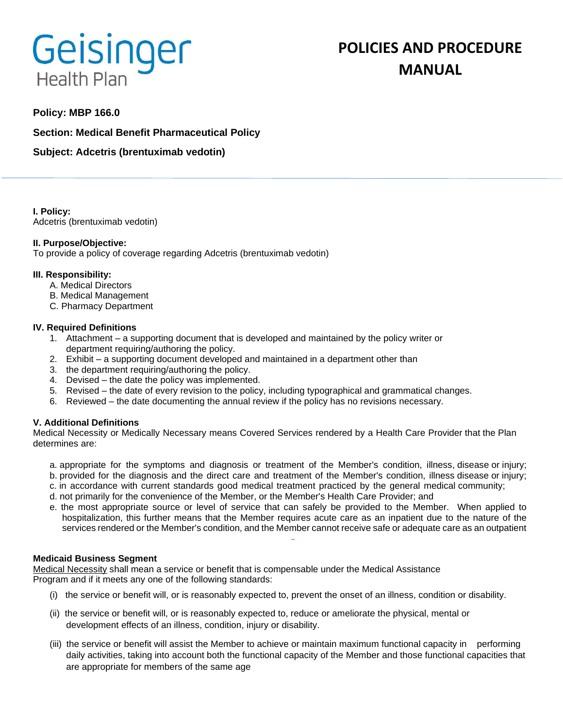# Geisinger **Health Plan**

# **POLICIES AND PROCEDURE MANUAL**

# **Policy: MBP 166.0**

**Section: Medical Benefit Pharmaceutical Policy**

**Subject: Adcetris (brentuximab vedotin)**

**I. Policy:** Adcetris (brentuximab vedotin)

### **II. Purpose/Objective:**

To provide a policy of coverage regarding Adcetris (brentuximab vedotin)

### **III. Responsibility:**

- A. Medical Directors
- B. Medical Management
- C. Pharmacy Department

#### **IV. Required Definitions**

- 1. Attachment a supporting document that is developed and maintained by the policy writer or department requiring/authoring the policy.
- 2. Exhibit a supporting document developed and maintained in a department other than
- 3. the department requiring/authoring the policy.
- 4. Devised the date the policy was implemented.
- 5. Revised the date of every revision to the policy, including typographical and grammatical changes.
- 6. Reviewed the date documenting the annual review if the policy has no revisions necessary.

### **V. Additional Definitions**

Medical Necessity or Medically Necessary means Covered Services rendered by a Health Care Provider that the Plan determines are:

- a. appropriate for the symptoms and diagnosis or treatment of the Member's condition, illness, disease or injury; b. provided for the diagnosis and the direct care and treatment of the Member's condition, illness disease or injury;
- c. in accordance with current standards good medical treatment practiced by the general medical community;
- d. not primarily for the convenience of the Member, or the Member's Health Care Provider; and
- e. the most appropriate source or level of service that can safely be provided to the Member. When applied to hospitalization, this further means that the Member requires acute care as an inpatient due to the nature of the services rendered or the Member's condition, and the Member cannot receive safe or adequate care as an outpatient

#### **Medicaid Business Segment**

Medical Necessity shall mean a service or benefit that is compensable under the Medical Assistance Program and if it meets any one of the following standards:

- (i) the service or benefit will, or is reasonably expected to, prevent the onset of an illness, condition or disability.
- (ii) the service or benefit will, or is reasonably expected to, reduce or ameliorate the physical, mental or development effects of an illness, condition, injury or disability.
- (iii) the service or benefit will assist the Member to achieve or maintain maximum functional capacity in performing daily activities, taking into account both the functional capacity of the Member and those functional capacities that are appropriate for members of the same age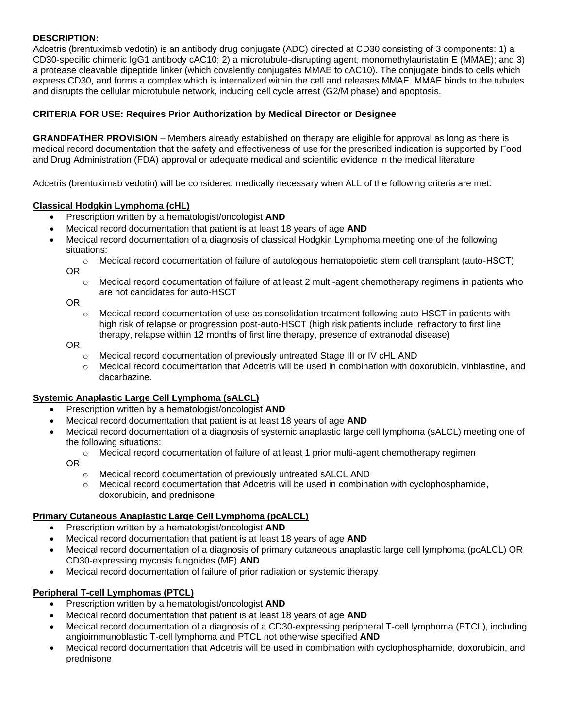### **DESCRIPTION:**

Adcetris (brentuximab vedotin) is an antibody drug conjugate (ADC) directed at CD30 consisting of 3 components: 1) a CD30-specific chimeric IgG1 antibody cAC10; 2) a microtubule-disrupting agent, monomethylauristatin E (MMAE); and 3) a protease cleavable dipeptide linker (which covalently conjugates MMAE to cAC10). The conjugate binds to cells which express CD30, and forms a complex which is internalized within the cell and releases MMAE. MMAE binds to the tubules and disrupts the cellular microtubule network, inducing cell cycle arrest (G2/M phase) and apoptosis.

## **CRITERIA FOR USE: Requires Prior Authorization by Medical Director or Designee**

**GRANDFATHER PROVISION** – Members already established on therapy are eligible for approval as long as there is medical record documentation that the safety and effectiveness of use for the prescribed indication is supported by Food and Drug Administration (FDA) approval or adequate medical and scientific evidence in the medical literature

Adcetris (brentuximab vedotin) will be considered medically necessary when ALL of the following criteria are met:

### **Classical Hodgkin Lymphoma (cHL)**

- Prescription written by a hematologist/oncologist **AND**
- Medical record documentation that patient is at least 18 years of age **AND**
- Medical record documentation of a diagnosis of classical Hodgkin Lymphoma meeting one of the following situations:
	- o Medical record documentation of failure of autologous hematopoietic stem cell transplant (auto-HSCT) OR
		- $\circ$  Medical record documentation of failure of at least 2 multi-agent chemotherapy regimens in patients who are not candidates for auto-HSCT

OR

 $\circ$  Medical record documentation of use as consolidation treatment following auto-HSCT in patients with high risk of relapse or progression post-auto-HSCT (high risk patients include: refractory to first line therapy, relapse within 12 months of first line therapy, presence of extranodal disease)

OR

- o Medical record documentation of previously untreated Stage III or IV cHL AND
- o Medical record documentation that Adcetris will be used in combination with doxorubicin, vinblastine, and dacarbazine.

### **Systemic Anaplastic Large Cell Lymphoma (sALCL)**

- Prescription written by a hematologist/oncologist **AND**
- Medical record documentation that patient is at least 18 years of age **AND**
- Medical record documentation of a diagnosis of systemic anaplastic large cell lymphoma (sALCL) meeting one of the following situations:
	- $\circ$  Medical record documentation of failure of at least 1 prior multi-agent chemotherapy regimen
	- OR
		- o Medical record documentation of previously untreated sALCL AND
		- $\circ$  Medical record documentation that Adcetris will be used in combination with cyclophosphamide, doxorubicin, and prednisone

### **Primary Cutaneous Anaplastic Large Cell Lymphoma (pcALCL)**

- Prescription written by a hematologist/oncologist **AND**
- Medical record documentation that patient is at least 18 years of age **AND**
- Medical record documentation of a diagnosis of primary cutaneous anaplastic large cell lymphoma (pcALCL) OR CD30-expressing mycosis fungoides (MF) **AND**
- Medical record documentation of failure of prior radiation or systemic therapy

### **Peripheral T-cell Lymphomas (PTCL)**

- Prescription written by a hematologist/oncologist **AND**
- Medical record documentation that patient is at least 18 years of age **AND**
- Medical record documentation of a diagnosis of a CD30-expressing peripheral T-cell lymphoma (PTCL), including angioimmunoblastic T-cell lymphoma and PTCL not otherwise specified **AND**
- Medical record documentation that Adcetris will be used in combination with cyclophosphamide, doxorubicin, and prednisone